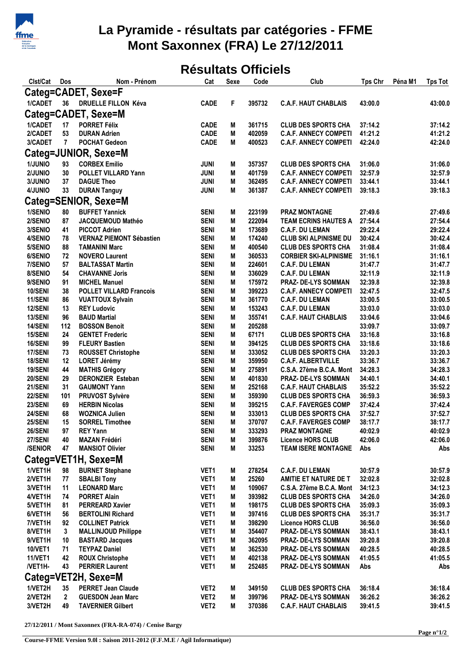

## **La Pyramide - résultats par catégories - FFME Mont Saxonnex (FRA) Le 27/12/2011**

## **Résultats Officiels**

| Clst/Cat             | Dos          | Nom - Prénom                                  | Cat              | Sexe | Code   | Club                         | <b>Tps Chr</b> | Péna M1 | <b>Tps Tot</b> |  |  |  |
|----------------------|--------------|-----------------------------------------------|------------------|------|--------|------------------------------|----------------|---------|----------------|--|--|--|
| Categ=CADET, Sexe=F  |              |                                               |                  |      |        |                              |                |         |                |  |  |  |
| 1/CADET              | 36           | <b>DRUELLE FILLON Kéva</b>                    | <b>CADE</b>      | F    | 395732 | <b>C.A.F. HAUT CHABLAIS</b>  | 43:00.0        |         | 43:00.0        |  |  |  |
|                      |              |                                               |                  |      |        |                              |                |         |                |  |  |  |
| Categ=CADET, Sexe=M  |              |                                               |                  |      |        |                              |                |         |                |  |  |  |
| 1/CADET              | 17           | <b>PORRET Félix</b>                           | <b>CADE</b>      | M    | 361715 | <b>CLUB DES SPORTS CHA</b>   | 37:14.2        |         | 37:14.2        |  |  |  |
| 2/CADET              | 53           | <b>DURAN Adrien</b>                           | <b>CADE</b>      | M    | 402059 | <b>C.A.F. ANNECY COMPETI</b> | 41:21.2        |         | 41:21.2        |  |  |  |
| 3/CADET              | $\mathbf{7}$ | <b>POCHAT Gedeon</b>                          | <b>CADE</b>      | M    | 400523 | <b>C.A.F. ANNECY COMPETI</b> | 42:24.0        |         | 42:24.0        |  |  |  |
| Categ=JUNIOR, Sexe=M |              |                                               |                  |      |        |                              |                |         |                |  |  |  |
| 1/JUNIO              | 93           | <b>CORBEX Emilio</b>                          | <b>JUNI</b>      | M    | 357357 | <b>CLUB DES SPORTS CHA</b>   | 31:06.0        |         | 31:06.0        |  |  |  |
| 2/JUNIO              | 30           | <b>POLLET VILLARD Yann</b>                    | <b>JUNI</b>      | M    | 401759 | <b>C.A.F. ANNECY COMPETI</b> | 32:57.9        |         | 32:57.9        |  |  |  |
| 3/JUNIO              | 37           | <b>DAGUE Theo</b>                             | <b>JUNI</b>      | M    | 362495 | <b>C.A.F. ANNECY COMPETI</b> | 33:44.1        |         | 33:44.1        |  |  |  |
| 4/JUNIO              | 33           | <b>DURAN Tanguy</b>                           | <b>JUNI</b>      | M    | 361387 | <b>C.A.F. ANNECY COMPETI</b> | 39:18.3        |         | 39:18.3        |  |  |  |
|                      |              |                                               |                  |      |        |                              |                |         |                |  |  |  |
|                      |              | Categ=SENIOR, Sexe=M<br><b>BUFFET Yannick</b> |                  |      |        |                              |                |         |                |  |  |  |
| 1/SENIO              | 80           |                                               | <b>SENI</b>      | M    | 223199 | <b>PRAZ MONTAGNE</b>         | 27:49.6        |         | 27:49.6        |  |  |  |
| 2/SENIO              | 87           | JACQUEMOUD Mathéo                             | <b>SENI</b>      | M    | 222094 | <b>TEAM ECRINS HAUTES A</b>  | 27:54.4        |         | 27:54.4        |  |  |  |
| 3/SENIO              | 41           | <b>PICCOT Adrien</b>                          | <b>SENI</b>      | M    | 173689 | <b>C.A.F. DU LEMAN</b>       | 29:22.4        |         | 29:22.4        |  |  |  |
| 4/SENIO              | 78           | <b>VERNAZ PIEMONT Sébastien</b>               | <b>SENI</b>      | M    | 174240 | <b>CLUB SKI ALPINISME DU</b> | 30:42.4        |         | 30:42.4        |  |  |  |
| 5/SENIO              | 88           | <b>TAMANINI Marc</b>                          | <b>SENI</b>      | M    | 400540 | <b>CLUB DES SPORTS CHA</b>   | 31:08.4        |         | 31:08.4        |  |  |  |
| 6/SENIO              | 72           | <b>NOVERO Laurent</b>                         | <b>SENI</b>      | M    | 360533 | <b>CORBIER SKI-ALPINISME</b> | 31:16.1        |         | 31:16.1        |  |  |  |
| 7/SENIO              | 57           | <b>BALTASSAT Martin</b>                       | <b>SENI</b>      | M    | 224601 | <b>C.A.F. DU LEMAN</b>       | 31:47.7        |         | 31:47.7        |  |  |  |
| 8/SENIO              | 54           | <b>CHAVANNE Joris</b>                         | <b>SENI</b>      | M    | 336029 | <b>C.A.F. DU LEMAN</b>       | 32:11.9        |         | 32:11.9        |  |  |  |
| 9/SENIO              | 91           | <b>MICHEL Manuel</b>                          | <b>SENI</b>      | M    | 175972 | PRAZ- DE-LYS SOMMAN          | 32:39.8        |         | 32:39.8        |  |  |  |
| 10/SENI              | 38           | <b>POLLET VILLARD Francois</b>                | <b>SENI</b>      | M    | 399223 | <b>C.A.F. ANNECY COMPETI</b> | 32:47.5        |         | 32:47.5        |  |  |  |
| 11/SENI              | 86           | <b>VUATTOUX Sylvain</b>                       | <b>SENI</b>      | M    | 361770 | <b>C.A.F. DU LEMAN</b>       | 33:00.5        |         | 33:00.5        |  |  |  |
| 12/SENI              | 13           | <b>REY Ludovic</b>                            | <b>SENI</b>      | M    | 153243 | <b>C.A.F. DU LEMAN</b>       | 33:03.0        |         | 33:03.0        |  |  |  |
| 13/SENI              | 96           | <b>BAUD Martial</b>                           | <b>SENI</b>      | M    | 355741 | <b>C.A.F. HAUT CHABLAIS</b>  | 33:04.6        |         | 33:04.6        |  |  |  |
| 14/SENI              | 112          | <b>BOSSON Benoit</b>                          | <b>SENI</b>      | M    | 205288 |                              | 33:09.7        |         | 33:09.7        |  |  |  |
| 15/SENI              | 24           | <b>GENTET Frederic</b>                        | <b>SENI</b>      | M    | 67171  | <b>CLUB DES SPORTS CHA</b>   | 33:16.8        |         | 33:16.8        |  |  |  |
| 16/SENI              | 99           | <b>FLEURY Bastien</b>                         | <b>SENI</b>      | M    | 394125 | <b>CLUB DES SPORTS CHA</b>   | 33:18.6        |         | 33:18.6        |  |  |  |
| 17/SENI              | 73           | <b>ROUSSET Christophe</b>                     | <b>SENI</b>      | M    | 333052 | <b>CLUB DES SPORTS CHA</b>   | 33:20.3        |         | 33:20.3        |  |  |  |
| 18/SENI              | 12           | <b>LORET Jérémy</b>                           | <b>SENI</b>      | M    | 359950 | <b>C.A.F. ALBERTVILLE</b>    | 33:36.7        |         | 33:36.7        |  |  |  |
| 19/SENI              | 44           | <b>MATHIS Grégory</b>                         | <b>SENI</b>      | M    | 275891 | C.S.A. 27ème B.C.A. Mont     | 34:28.3        |         | 34:28.3        |  |  |  |
| 20/SENI              | 29           | <b>DERONZIER Esteban</b>                      | <b>SENI</b>      | M    | 401830 | PRAZ- DE-LYS SOMMAN          | 34:40.1        |         | 34:40.1        |  |  |  |
| 21/SENI              | 31           | <b>GAUMONT Yann</b>                           | <b>SENI</b>      | M    | 252168 | <b>C.A.F. HAUT CHABLAIS</b>  | 35:52.2        |         | 35:52.2        |  |  |  |
| 22/SENI              | 101          | PRUVOST Sylvère                               | <b>SENI</b>      | M    | 359390 | <b>CLUB DES SPORTS CHA</b>   | 36:59.3        |         | 36:59.3        |  |  |  |
| 23/SENI              | 69           | <b>HERBIN Nicolas</b>                         | <b>SENI</b>      | M    | 395215 | <b>C.A.F. FAVERGES COMP</b>  | 37:42.4        |         | 37:42.4        |  |  |  |
| 24/SENI              | 68           | <b>WOZNICA Julien</b>                         | <b>SENI</b>      | M    | 333013 | <b>CLUB DES SPORTS CHA</b>   | 37:52.7        |         | 37:52.7        |  |  |  |
| 25/SENI              | 15           | <b>SORREL Timothee</b>                        | <b>SENI</b>      | M    | 370707 | <b>C.A.F. FAVERGES COMP</b>  | 38:17.7        |         | 38:17.7        |  |  |  |
| 26/SENI              | 97           | <b>REY Yann</b>                               | <b>SENI</b>      | M    | 333293 | PRAZ MONTAGNE                | 40:02.9        |         | 40:02.9        |  |  |  |
| 27/SENI              | 40           | <b>MAZAN Frédéri</b>                          | <b>SENI</b>      | M    | 399876 | <b>Licence HORS CLUB</b>     | 42:06.0        |         | 42:06.0        |  |  |  |
| <b>/SENIOR</b>       | 47           | <b>MANSIOT Olivier</b>                        | <b>SENI</b>      | M    | 33253  | <b>TEAM ISERE MONTAGNE</b>   | Abs            |         | Abs            |  |  |  |
|                      |              | Categ=VET1H, Sexe=M                           |                  |      |        |                              |                |         |                |  |  |  |
|                      |              |                                               |                  |      |        |                              |                |         |                |  |  |  |
| 1/VET1H              | 98           | <b>BURNET Stephane</b>                        | VET1             | M    | 278254 | <b>C.A.F. DU LEMAN</b>       | 30:57.9        |         | 30:57.9        |  |  |  |
| 2/VET1H              | 77           | <b>SBALBI Tony</b>                            | VET1             | M    | 25260  | AMITIE ET NATURE DE T        | 32:02.8        |         | 32:02.8        |  |  |  |
| 3/VET1H              | 11           | <b>LEONARD Marc</b>                           | VET1             | M    | 109067 | C.S.A. 27ème B.C.A. Mont     | 34:12.3        |         | 34:12.3        |  |  |  |
| 4/VET1H              | 74           | <b>PORRET Alain</b>                           | VET <sub>1</sub> | M    | 393982 | <b>CLUB DES SPORTS CHA</b>   | 34:26.0        |         | 34:26.0        |  |  |  |
| 5/VET1H              | 81           | <b>PERREARD Xavier</b>                        | VET1             | M    | 198175 | <b>CLUB DES SPORTS CHA</b>   | 35:09.3        |         | 35:09.3        |  |  |  |
| 6/VET1H              | 56           | <b>BERTOLINI Richard</b>                      | VET <sub>1</sub> | M    | 397416 | <b>CLUB DES SPORTS CHA</b>   | 35:31.7        |         | 35:31.7        |  |  |  |
| 7/VET1H              | 92           | <b>COLLINET Patrick</b>                       | VET <sub>1</sub> | M    | 398290 | <b>Licence HORS CLUB</b>     | 36:56.0        |         | 36:56.0        |  |  |  |
| 8/VET1H              | 3            | <b>MALLINJOUD Philippe</b>                    | VET <sub>1</sub> | M    | 354407 | <b>PRAZ- DE-LYS SOMMAN</b>   | 38:43.1        |         | 38:43.1        |  |  |  |
| 9/VET1H              | 10           | <b>BASTARD Jacques</b>                        | VET1             | M    | 362095 | <b>PRAZ- DE-LYS SOMMAN</b>   | 39:20.8        |         | 39:20.8        |  |  |  |
| <b>10/VET1</b>       | 71           | <b>TEYPAZ Daniel</b>                          | VET1             | M    | 362530 | PRAZ- DE-LYS SOMMAN          | 40:28.5        |         | 40:28.5        |  |  |  |
| <b>11/VET1</b>       | 42           | <b>ROUX Christophe</b>                        | VET1             | M    | 402138 | PRAZ- DE-LYS SOMMAN          | 41:05.5        |         | 41:05.5        |  |  |  |
| /VET1H-              | 43           | <b>PERRIER Laurent</b>                        | VET <sub>1</sub> | Μ    | 252485 | PRAZ- DE-LYS SOMMAN          | Abs            |         | Abs            |  |  |  |
|                      |              | Categ=VET2H, Sexe=M                           |                  |      |        |                              |                |         |                |  |  |  |
| 1/VET2H              | 35           | <b>PERRET Jean Claude</b>                     | VET2             | M    | 349150 | <b>CLUB DES SPORTS CHA</b>   | 36:18.4        |         | 36:18.4        |  |  |  |
| 2/VET2H              | 2            | <b>GUESDON Jean Marc</b>                      | VET2             | M    | 399796 | PRAZ- DE-LYS SOMMAN          | 36:26.2        |         | 36:26.2        |  |  |  |
| 3/VET2H              | 49           | <b>TAVERNIER Gilbert</b>                      | VET2             | M    | 370386 | <b>C.A.F. HAUT CHABLAIS</b>  | 39:41.5        |         | 39:41.5        |  |  |  |
|                      |              |                                               |                  |      |        |                              |                |         |                |  |  |  |

**27/12/2011 / Mont Saxonnex (FRA-RA-074) / Cenise Bargy**